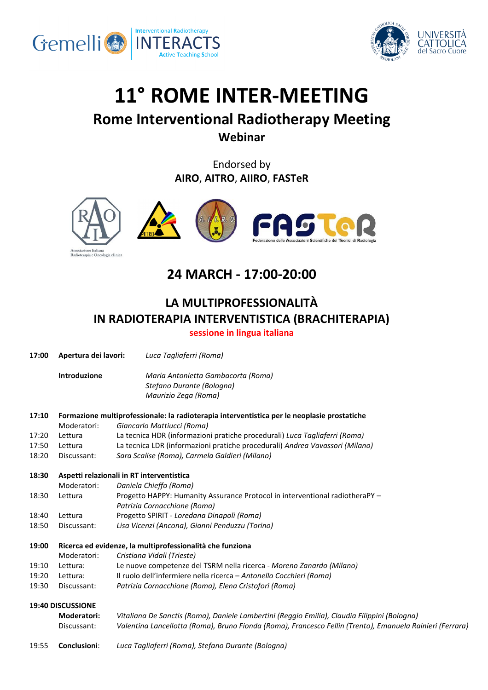



# **11° ROME INTER-MEETING**

### **Rome Interventional Radiotherapy Meeting Webinar**

Endorsed by **AIRO**, **AITRO**, **AIIRO**, **FASTeR**



# **24 MARCH - 17:00-20:00**

## **LA MULTIPROFESSIONALITÀ IN RADIOTERAPIA INTERVENTISTICA (BRACHITERAPIA)**

**sessione in lingua italiana**

| 17:00 | Apertura dei lavori:                                                                        | Luca Tagliaferri (Roma)                                                                                   |  |  |
|-------|---------------------------------------------------------------------------------------------|-----------------------------------------------------------------------------------------------------------|--|--|
|       | Introduzione                                                                                | Maria Antonietta Gambacorta (Roma)<br>Stefano Durante (Bologna)<br>Maurizio Zega (Roma)                   |  |  |
| 17:10 | Formazione multiprofessionale: la radioterapia interventistica per le neoplasie prostatiche |                                                                                                           |  |  |
|       | Moderatori:                                                                                 | Giancarlo Mattiucci (Roma)                                                                                |  |  |
| 17:20 | Lettura                                                                                     | La tecnica HDR (informazioni pratiche procedurali) Luca Tagliaferri (Roma)                                |  |  |
| 17:50 | Lettura                                                                                     | La tecnica LDR (informazioni pratiche procedurali) Andrea Vavassori (Milano)                              |  |  |
| 18:20 | Discussant:                                                                                 | Sara Scalise (Roma), Carmela Galdieri (Milano)                                                            |  |  |
| 18:30 | Aspetti relazionali in RT interventistica                                                   |                                                                                                           |  |  |
|       | Moderatori:                                                                                 | Daniela Chieffo (Roma)                                                                                    |  |  |
| 18:30 | Lettura                                                                                     | Progetto HAPPY: Humanity Assurance Protocol in interventional radiotheraPY -                              |  |  |
|       |                                                                                             | Patrizia Cornacchione (Roma)                                                                              |  |  |
| 18:40 | Lettura                                                                                     | Progetto SPIRIT - Loredana Dinapoli (Roma)                                                                |  |  |
| 18:50 | Discussant:                                                                                 | Lisa Vicenzi (Ancona), Gianni Penduzzu (Torino)                                                           |  |  |
| 19:00 |                                                                                             | Ricerca ed evidenze, la multiprofessionalità che funziona                                                 |  |  |
|       | Moderatori:                                                                                 | Cristiana Vidali (Trieste)                                                                                |  |  |
| 19:10 | Lettura:                                                                                    | Le nuove competenze del TSRM nella ricerca - Moreno Zanardo (Milano)                                      |  |  |
| 19:20 | Lettura:                                                                                    | Il ruolo dell'infermiere nella ricerca - Antonello Cocchieri (Roma)                                       |  |  |
| 19:30 | Discussant:                                                                                 | Patrizia Cornacchione (Roma), Elena Cristofori (Roma)                                                     |  |  |
|       | 19:40 DISCUSSIONE                                                                           |                                                                                                           |  |  |
|       | <b>Moderatori:</b>                                                                          | Vitaliana De Sanctis (Roma), Daniele Lambertini (Reggio Emilia), Claudia Filippini (Bologna)              |  |  |
|       | Discussant:                                                                                 | Valentina Lancellotta (Roma), Bruno Fionda (Roma), Francesco Fellin (Trento), Emanuela Rainieri (Ferrara) |  |  |
| 19:55 | Conclusioni:                                                                                | Luca Tagliaferri (Roma), Stefano Durante (Bologna)                                                        |  |  |